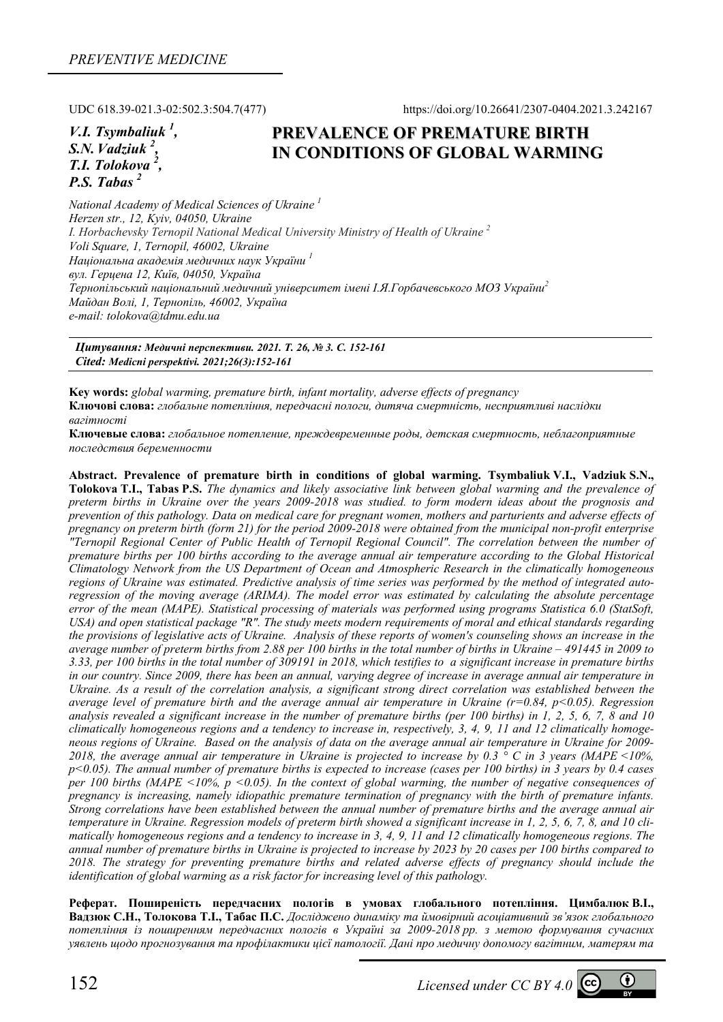UDC 618.39-021.3-02:502.3:504.7(477) https://doi.org/10.26641/2307-0404.2021.3.242167

*V.I. Tsymbaliuk <sup>1</sup> , S.N.Vadziuk <sup>2</sup> , T.I. Tolokova 2 , P.S. Tabas 2* 

# **PREVALENCE OF PREMATURE BIRTH IN CONDITIONS OF GLOBAL WARMING**

*National Academy of Medical Sciences of Ukraine 1 Herzen str., 12, Kyiv, 04050, Ukraine I. Horbachevsky Ternopil National Medical University Ministry of Health of Ukraine 2 Voli Square, 1, Ternopil, 46002, Ukraine Національна академія медичних наук України <sup>1</sup> вул. Герцена 12, Київ, 04050, Україна Тернопільський національний медичний університет імені І.Я.Горбачевського МОЗ України<sup>2</sup> Майдан Волі, 1, Тернопіль, 46002, Україна e-mail: tolokova@tdmu.edu.ua*

*Цитування: Медичні перспективи. 2021. Т. 26, № 3. С. 152-161 Cited: Medicni perspektivi. 2021;26(3):152-161*

**Key words:** *global warming, premature birth, infant mortality, adverse effects of pregnancy*  **Ключові слова:** *глобальне потепління, передчасні пологи, дитяча смертність, несприятливі наслідки вагітності*

**Ключевые слова:** *глобальное потепление, преждевременные роды, детская смертность, неблагоприятные последствия беременности*

**Abstract. Prevalence of premature birth in conditions of global warming. Tsymbaliuk V.I., Vadziuk S.N., Tolokova T.I., Tabas P.S.** *The dynamics and likely associative link between global warming and the prevalence of preterm births in Ukraine over the years 2009-2018 was studied. to form modern ideas about the prognosis and prevention of this pathology. Data on medical care for pregnant women, mothers and parturients and adverse effects of pregnancy on preterm birth (form 21) for the period 2009-2018 were obtained from the municipal non-profit enterprise "Ternopil Regional Center of Public Health of Ternopil Regional Council". The correlation between the number of premature births per 100 births according to the average annual air temperature according to the Global Historical Climatology Network from the US Department of Ocean and Atmospheric Research in the climatically homogeneous regions of Ukraine was estimated. Predictive analysis of time series was performed by the method of integrated autoregression of the moving average (ARIMA). The model error was estimated by calculating the absolute percentage error of the mean (MAPE). Statistical processing of materials was performed using programs Statistica 6.0 (StatSoft, USA) and open statistical package "R". The study meets modern requirements of moral and ethical standards regarding the provisions of legislative acts of Ukraine. Analysis of these reports of women's counseling shows an increase in the average number of preterm births from 2.88 per 100 births in the total number of births in Ukraine – 491445 in 2009 to 3.33, per 100 births in the total number of 309191 in 2018, which testifies to a significant increase in premature births in our country. Since 2009, there has been an annual, varying degree of increase in average annual air temperature in Ukraine. As a result of the correlation analysis, a significant strong direct correlation was established between the average level of premature birth and the average annual air temperature in Ukraine (r=0.84, p<0.05). Regression analysis revealed a significant increase in the number of premature births (per 100 births) in 1, 2, 5, 6, 7, 8 and 10 climatically homogeneous regions and a tendency to increase in, respectively, 3, 4, 9, 11 and 12 climatically homogeneous regions of Ukraine. Based on the analysis of data on the average annual air temperature in Ukraine for 2009-* 2018, the average annual air temperature in Ukraine is projected to increase by 0.3  $\degree$  C in 3 years (MAPE <10%, *p<0.05). The annual number of premature births is expected to increase (cases per 100 births) in 3 years by 0.4 cases per 100 births (MAPE*  $\leq$ *10%, p*  $\leq$ *0.05). In the context of global warming, the number of negative consequences of pregnancy is increasing, namely idiopathic premature termination of pregnancy with the birth of premature infants. Strong correlations have been established between the annual number of premature births and the average annual air temperature in Ukraine. Regression models of preterm birth showed a significant increase in 1, 2, 5, 6, 7, 8, and 10 climatically homogeneous regions and a tendency to increase in 3, 4, 9, 11 and 12 climatically homogeneous regions. The annual number of premature births in Ukraine is projected to increase by 2023 by 20 cases per 100 births compared to 2018. The strategy for preventing premature births and related adverse effects of pregnancy should include the identification of global warming as a risk factor for increasing level of this pathology.* 

**Реферат. Поширеність передчасних пологів в умовах глобального потепління. Цимбалюк В.І.,**  Валзюк С.Н., Толокова Т.І., Табас П.С. Лосліджено динаміку та ймовірний асоціативний зв'язок глобального *потепління із поширенням передчасних пологів в Україні за 2009-2018 рр. з метою формування сучасних уявлень щодо прогнозування та профілактики цієї патології. Дані про медичну допомогу вагітним, матерям та*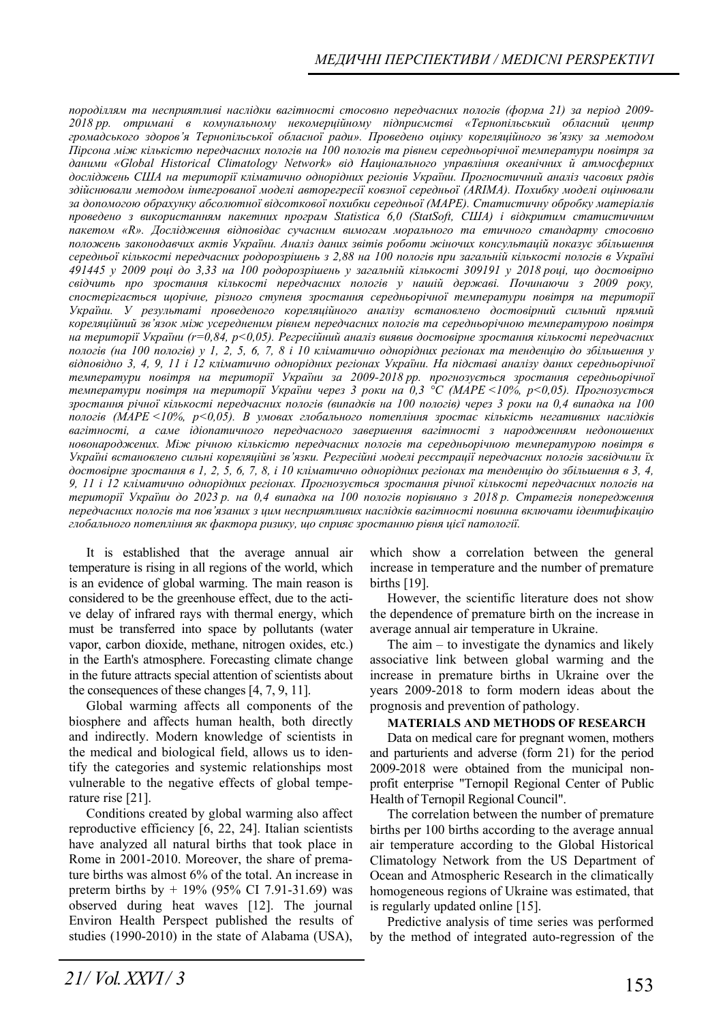*породіллям та несприятливі наслідки вагітності стосовно передчасних пологів (форма 21) за період 2009- 2018 рр. отримані в комунальному некомерційному підприємстві «Тернопільський обласний центр громадського здоров'я Тернопільської обласної ради». Проведено оцінку кореляційного зв'язку за методом Пірсона між кількістю передчасних пологів на 100 пологів та рівнем середньорічної температури повітря за даними «Global Historical Climatology Network» від Національного управління океанічних й атмосферних досліджень США на території кліматично однорідних регіонів України. Прогностичний аналіз часових рядів здійснювали методом інтегрованої моделі авторегресії ковзної середньої (ARIMA). Похибку моделі оцінювали за допомогою обрахунку абсолютної відсоткової похибки середньої (MAPE). Статистичну обробку матеріалів проведено з використанням пакетних програм Statistica 6,0 (StatSoft, США) і відкритим статистичним пакетом «R». Дослідження відповідає сучасним вимогам морального та етичного стандарту стосовно положень законодавчих актів України. Аналіз даних звітів роботи жіночих консультацій показує збільшення середньої кількості передчасних родорозрішень з 2,88 на 100 пологів при загальній кількості пологів в Україні* 491445 у 2009 році до 3,33 на 100 родорозрішень у загальній кількості 309191 у 2018 році, що достовірно *свідчить про зростання кількості передчасних пологів у нашій державі. Починаючи з 2009 року, спостерігається щорічне, різного ступеня зростання середньорічної температури повітря на території України. У результаті проведеного кореляційного аналізу встановлено достовірний сильний прямий кореляційний зв'язок між усередненим рівнем передчасних пологів та середньорічною температурою повітря на території України (r=0,84, p<0,05). Регресійний аналіз виявив достовірне зростання кількості передчасних* пологів (на 100 пологів) у 1, 2, 5, 6, 7, 8 і 10 кліматично однорідних регіонах та тенденцію до збільшення у *відповідно 3, 4, 9, 11 і 12 кліматично однорідних регіонах України. На підставі аналізу даних середньорічної температури повітря на території України за 2009-2018 рр. прогнозується зростання середньорічної температури повітря на території України через 3 роки на 0,3 °С (MAPE <10%, p<0,05). Прогнозується* зростання річної кількості передчасних пологів (випадків на 100 пологів) через 3 роки на 0,4 випадка на 100 *пологів (MAPE <10%, p<0,05). В умовах глобального потепління зростає кількість негативних наслідків вагітності, а саме ідіопатичного передчасного завершення вагітності з народженням недоношених новонароджених. Між річною кількістю передчасних пологів та середньорічною температурою повітря в Україні встановлено сильні кореляційні зв'язки. Регресійні моделі реєстрації передчасних пологів засвідчили їх достовірне зростання в 1, 2, 5, 6, 7, 8, і 10 кліматично однорідних регіонах та тенденцію до збільшення в 3, 4, 9, 11 і 12 кліматично однорідних регіонах. Прогнозується зростання річної кількості передчасних пологів на* території України до 2023 р. на 0,4 випадка на 100 пологів порівняно з 2018 р. Стратегія попередження *передчасних пологів та пов'язаних з цим несприятливих наслідків вагітності повинна включати ідентифікацію глобального потепління як фактора ризику, що сприяє зростанню рівня цієї патології.* 

It is established that the average annual air temperature is rising in all regions of the world, which is an evidence of global warming. The main reason is considered to be the greenhouse effect, due to the active delay of infrared rays with thermal energy, which must be transferred into space by pollutants (water vapor, carbon dioxide, methane, nitrogen oxides, etc.) in the Earth's atmosphere. Forecasting climate change in the future attracts special attention of scientists about the consequences of these changes [4, 7, 9, 11].

Global warming affects all components of the biosphere and affects human health, both directly and indirectly. Modern knowledge of scientists in the medical and biological field, allows us to identify the categories and systemic relationships most vulnerable to the negative effects of global temperature rise [21].

Conditions created by global warming also affect reproductive efficiency [6, 22, 24]. Italian scientists have analyzed all natural births that took place in Rome in 2001-2010. Moreover, the share of premature births was almost 6% of the total. An increase in preterm births by + 19% (95% CI 7.91-31.69) was observed during heat waves [12]. The journal Environ Health Perspect published the results of studies (1990-2010) in the state of Alabama (USA),

which show a correlation between the general increase in temperature and the number of premature births [19].

However, the scientific literature does not show the dependence of premature birth on the increase in average annual air temperature in Ukraine.

The aim  $-$  to investigate the dynamics and likely associative link between global warming and the increase in premature births in Ukraine over the years 2009-2018 to form modern ideas about the prognosis and prevention of pathology.

## **MATERIALS AND METHODS OF RESEARCH**

Data on medical care for pregnant women, mothers and parturients and adverse (form 21) for the period 2009-2018 were obtained from the municipal nonprofit enterprise "Ternopil Regional Center of Public Health of Ternopil Regional Council".

The correlation between the number of premature births per 100 births according to the average annual air temperature according to the Global Historical Climatology Network from the US Department of Ocean and Atmospheric Research in the climatically homogeneous regions of Ukraine was estimated, that is regularly updated online [15].

Predictive analysis of time series was performed by the method of integrated auto-regression of the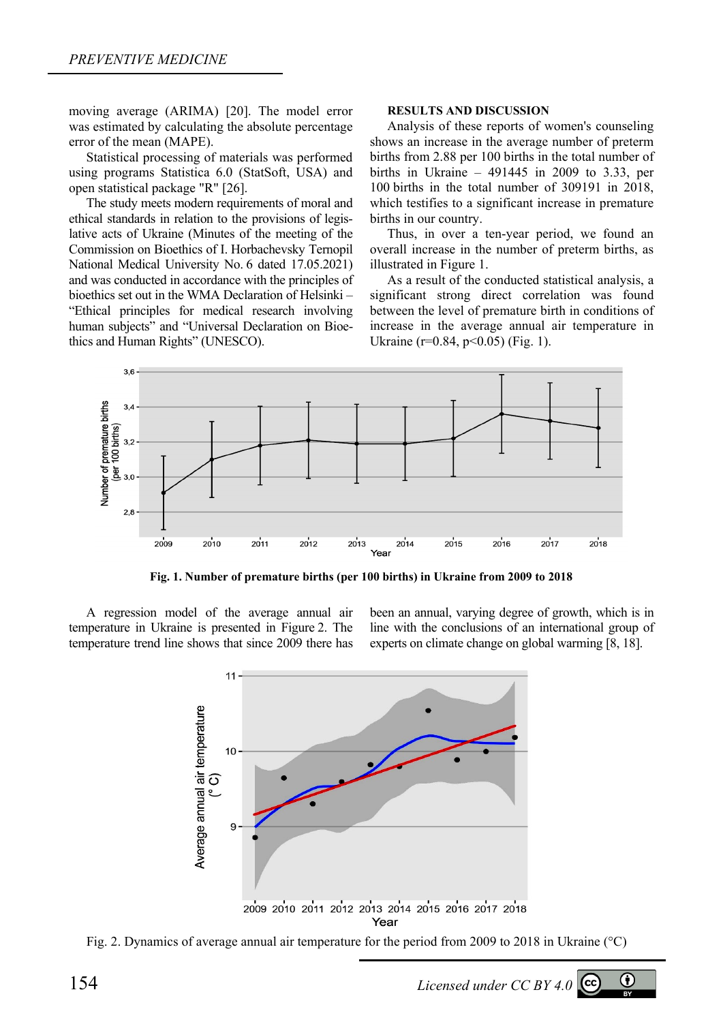moving average (ARIMA) [20]. The model error was estimated by calculating the absolute percentage error of the mean (MAPE).

Statistical processing of materials was performed using programs Statistica 6.0 (StatSoft, USA) and open statistical package "R" [26].

The study meets modern requirements of moral and ethical standards in relation to the provisions of legislative acts of Ukraine (Minutes of the meeting of the Commission on Bioethics of I. Horbachevsky Ternopil National Medical University No. 6 dated 17.05.2021) and was conducted in accordance with the principles of bioethics set out in the WMA Declaration of Helsinki – "Ethical principles for medical research involving human subjects" and "Universal Declaration on Bioethics and Human Rights" (UNESCO).

### **RESULTS AND DISCUSSION**

Analysis of these reports of women's counseling shows an increase in the average number of preterm births from 2.88 per 100 births in the total number of births in Ukraine – 491445 in 2009 to 3.33, per 100 births in the total number of 309191 in 2018, which testifies to a significant increase in premature births in our country.

Thus, in over a ten-year period, we found an overall increase in the number of preterm births, as illustrated in Figure 1.

As a result of the conducted statistical analysis, a significant strong direct correlation was found between the level of premature birth in conditions of increase in the average annual air temperature in Ukraine (r=0.84, p<0.05) (Fig. 1).



**Fig. 1. Number of premature births (per 100 births) in Ukraine from 2009 to 2018** 

A regression model of the average annual air temperature in Ukraine is presented in Figure 2. The temperature trend line shows that since 2009 there has been an annual, varying degree of growth, which is in line with the conclusions of an international group of experts on climate change on global warming [8, 18].



Fig. 2. Dynamics of average annual air temperature for the period from 2009 to 2018 in Ukraine (°С)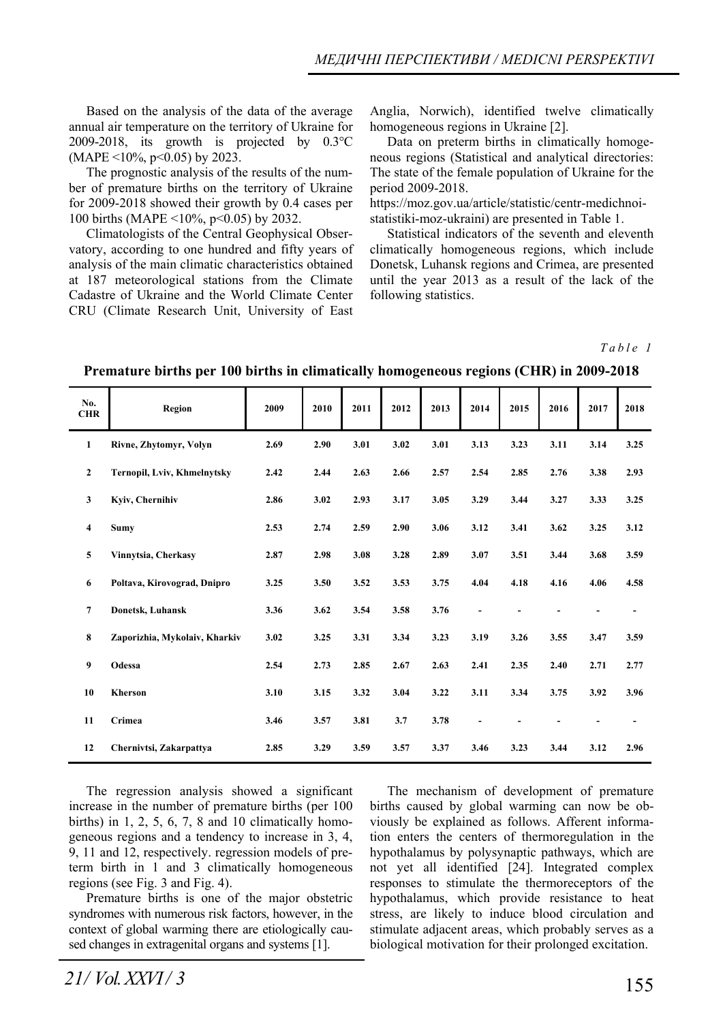Based on the analysis of the data of the average annual air temperature on the territory of Ukraine for 2009-2018, its growth is projected by 0.3°С (MAPE <10%, p<0.05) by 2023.

The prognostic analysis of the results of the number of premature births on the territory of Ukraine for 2009-2018 showed their growth by 0.4 cases per 100 births (MAPE <10%, p<0.05) by 2032.

Climatologists of the Central Geophysical Observatory, according to one hundred and fifty years of analysis of the main climatic characteristics obtained at 187 meteorological stations from the Climate Cadastre of Ukraine and the World Climate Center CRU (Climate Research Unit, University of East

Anglia, Norwich), identified twelve climatically homogeneous regions in Ukraine [2].

Data on preterm births in climatically homogeneous regions (Statistical and analytical directories: The state of the female population of Ukraine for the period 2009-2018.

https://moz.gov.ua/article/statistic/centr-medichnoistatistiki-moz-ukraini) are presented in Table 1.

Statistical indicators of the seventh and eleventh climatically homogeneous regions, which include Donetsk, Luhansk regions and Crimea, are presented until the year 2013 as a result of the lack of the following statistics.

*Table 1* 

| No.<br><b>CHR</b>       | <b>Region</b>                 | 2009 | 2010 | 2011 | 2012 | 2013 | 2014                     | 2015 | 2016 | 2017 | 2018           |
|-------------------------|-------------------------------|------|------|------|------|------|--------------------------|------|------|------|----------------|
| $\mathbf{1}$            | Rivne, Zhytomyr, Volyn        | 2.69 | 2.90 | 3.01 | 3.02 | 3.01 | 3.13                     | 3.23 | 3.11 | 3.14 | 3.25           |
| $\mathbf{2}$            | Ternopil, Lviv, Khmelnytsky   | 2.42 | 2.44 | 2.63 | 2.66 | 2.57 | 2.54                     | 2.85 | 2.76 | 3.38 | 2.93           |
| $\mathbf{3}$            | Kyiv, Chernihiv               | 2.86 | 3.02 | 2.93 | 3.17 | 3.05 | 3.29                     | 3.44 | 3.27 | 3.33 | 3.25           |
| $\overline{\mathbf{4}}$ | <b>Sumv</b>                   | 2.53 | 2.74 | 2.59 | 2.90 | 3.06 | 3.12                     | 3.41 | 3.62 | 3.25 | 3.12           |
| 5                       | Vinnytsia, Cherkasy           | 2.87 | 2.98 | 3.08 | 3.28 | 2.89 | 3.07                     | 3.51 | 3.44 | 3.68 | 3.59           |
| 6                       | Poltava, Kirovograd, Dnipro   | 3.25 | 3.50 | 3.52 | 3.53 | 3.75 | 4.04                     | 4.18 | 4.16 | 4.06 | 4.58           |
| $\overline{7}$          | Donetsk, Luhansk              | 3.36 | 3.62 | 3.54 | 3.58 | 3.76 | $\overline{\phantom{a}}$ |      |      |      | $\overline{a}$ |
| 8                       | Zaporizhia, Mykolaiv, Kharkiv | 3.02 | 3.25 | 3.31 | 3.34 | 3.23 | 3.19                     | 3.26 | 3.55 | 3.47 | 3.59           |
| 9                       | Odessa                        | 2.54 | 2.73 | 2.85 | 2.67 | 2.63 | 2.41                     | 2.35 | 2.40 | 2.71 | 2.77           |
| 10                      | <b>Kherson</b>                | 3.10 | 3.15 | 3.32 | 3.04 | 3.22 | 3.11                     | 3.34 | 3.75 | 3.92 | 3.96           |
| 11                      | Crimea                        | 3.46 | 3.57 | 3.81 | 3.7  | 3.78 | $\overline{\phantom{a}}$ |      |      |      |                |
| 12                      | Chernivtsi, Zakarpattva       | 2.85 | 3.29 | 3.59 | 3.57 | 3.37 | 3.46                     | 3.23 | 3.44 | 3.12 | 2.96           |

## **Premature births per 100 births in climatically homogeneous regions (CHR) in 2009-2018**

The regression analysis showed a significant increase in the number of premature births (per 100 births) in  $1, 2, 5, 6, 7, 8$  and  $10$  climatically homogeneous regions and a tendency to increase in 3, 4, 9, 11 and 12, respectively. regression models of preterm birth in 1 and 3 climatically homogeneous regions (see Fig. 3 and Fig. 4).

Premature births is one of the major obstetric syndromes with numerous risk factors, however, in the context of global warming there are etiologically caused changes in extragenital organs and systems [1].

The mechanism of development of premature births caused by global warming can now be obviously be explained as follows. Afferent information enters the centers of thermoregulation in the hypothalamus by polysynaptic pathways, which are not yet all identified [24]. Integrated complex responses to stimulate the thermoreceptors of the hypothalamus, which provide resistance to heat stress, are likely to induce blood circulation and stimulate adjacent areas, which probably serves as a biological motivation for their prolonged excitation.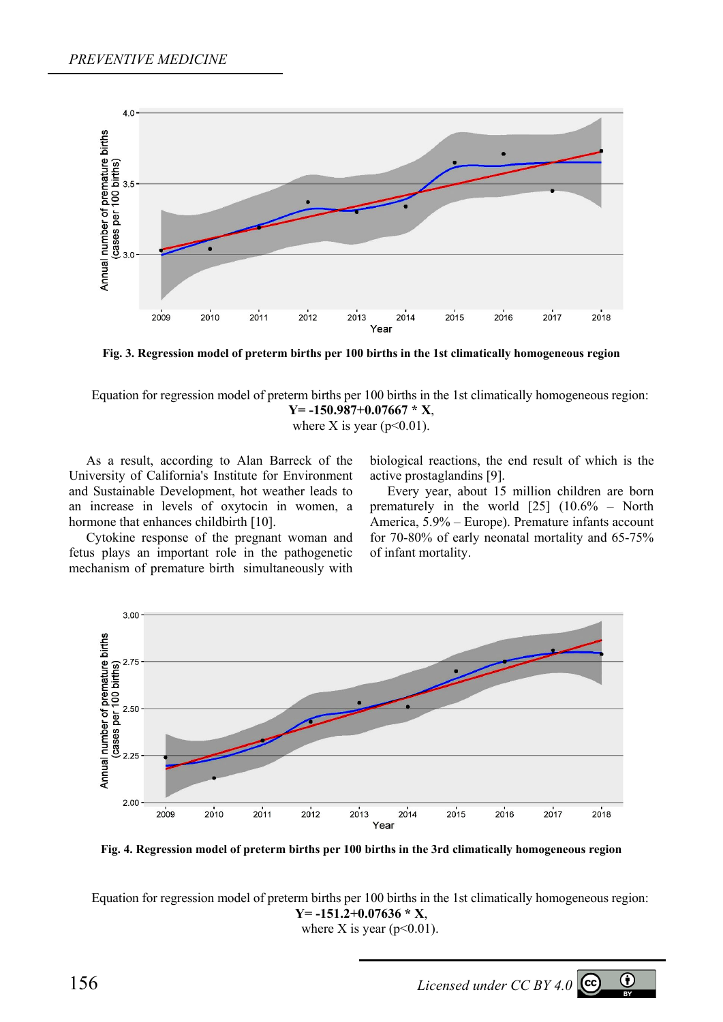

**Fig. 3. Regression model of preterm births per 100 births in the 1st climatically homogeneous region** 

Equation for regression model of preterm births per 100 births in the 1st climatically homogeneous region: **Y= -150.987+0.07667 \* X**,

where X is year ( $p<0.01$ ).

As a result, according to Alan Barreck of the University of California's Institute for Environment and Sustainable Development, hot weather leads to an increase in levels of oxytocin in women, a hormone that enhances childbirth [10].

Cytokine response of the pregnant woman and fetus plays an important role in the pathogenetic mechanism of premature birth simultaneously with biological reactions, the end result of which is the active prostaglandins [9].

Every year, about 15 million children are born prematurely in the world [25] (10.6% – North America, 5.9% – Europe). Premature infants account for 70-80% of early neonatal mortality and 65-75% of infant mortality.



**Fig. 4. Regression model of preterm births per 100 births in the 3rd climatically homogeneous region** 

Equation for regression model of preterm births per 100 births in the 1st climatically homogeneous region: **Y= -151.2+0.07636 \* X**, where X is year ( $p<0.01$ ).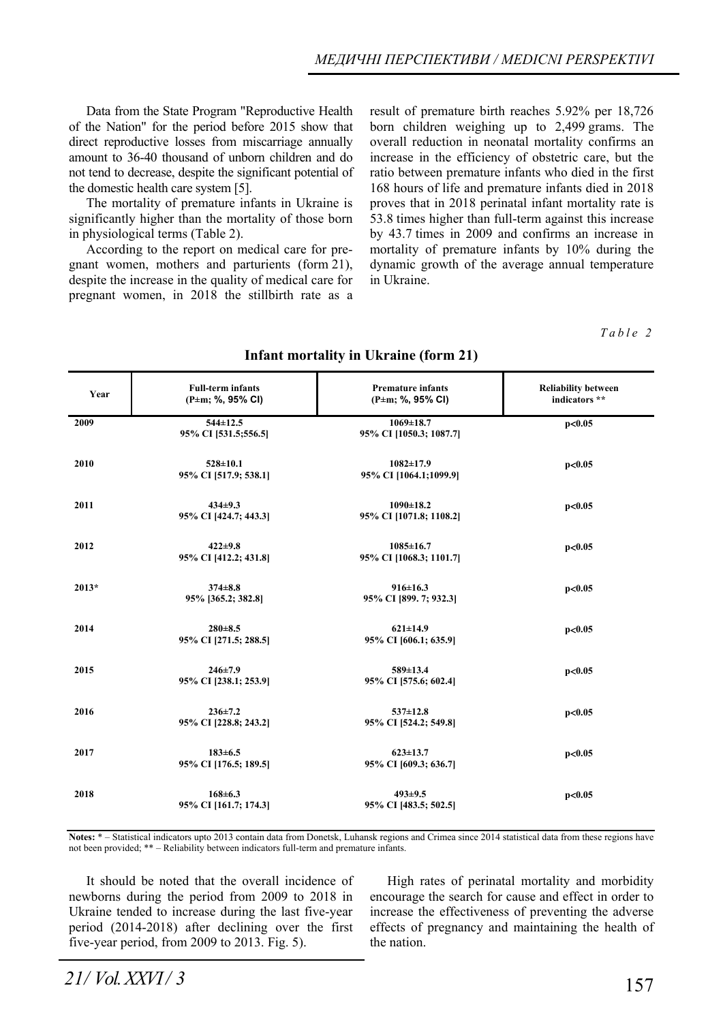Data from the State Program "Reproductive Health of the Nation" for the period before 2015 show that direct reproductive losses from miscarriage annually amount to 36-40 thousand of unborn children and do not tend to decrease, despite the significant potential of the domestic health care system [5].

The mortality of premature infants in Ukraine is significantly higher than the mortality of those born in physiological terms (Table 2).

According to the report on medical care for pregnant women, mothers and parturients (form 21), despite the increase in the quality of medical care for pregnant women, in 2018 the stillbirth rate as a result of premature birth reaches 5.92% per 18,726 born children weighing up to 2,499 grams. The overall reduction in neonatal mortality confirms an increase in the efficiency of obstetric care, but the ratio between premature infants who died in the first 168 hours of life and premature infants died in 2018 proves that in 2018 perinatal infant mortality rate is 53.8 times higher than full-term against this increase by 43.7 times in 2009 and confirms an increase in mortality of premature infants by 10% during the dynamic growth of the average annual temperature in Ukraine.

#### *Table 2*

| Year    | <b>Full-term infants</b><br>$(P \pm m; %$ , 95% CI) | <b>Premature infants</b><br>$(P \pm m; %$ , 95% CI) | <b>Reliability between</b><br>indicators ** |
|---------|-----------------------------------------------------|-----------------------------------------------------|---------------------------------------------|
| 2009    | $544 \pm 12.5$<br>95% CI [531.5;556.5]              | $1069 \pm 18.7$<br>95% CI [1050.3; 1087.7]          | p<0.05                                      |
| 2010    | $528 \pm 10.1$<br>95% CI [517.9; 538.1]             | $1082 \pm 17.9$<br>95% CI [1064.1;1099.9]           | p<0.05                                      |
| 2011    | $434\pm9.3$<br>95% CI [424.7; 443.3]                | $1090 \pm 18.2$<br>95% CI [1071.8; 1108.2]          | p<0.05                                      |
| 2012    | $422 \pm 9.8$<br>95% CI [412.2; 431.8]              | $1085 \pm 16.7$<br>95% CI [1068.3; 1101.7]          | p<0.05                                      |
| $2013*$ | $374 + 8.8$<br>95% [365.2; 382.8]                   | $916 \pm 16.3$<br>95% CI [899. 7; 932.3]            | p<0.05                                      |
| 2014    | $280 + 8.5$<br>95% CI [271.5; 288.5]                | $621 \pm 14.9$<br>95% CI [606.1; 635.9]             | p<0.05                                      |
| 2015    | $246 \pm 7.9$<br>95% CI [238.1; 253.9]              | 589±13.4<br>95% CI [575.6; 602.4]                   | p<0.05                                      |
| 2016    | $236 \pm 7.2$<br>95% CI [228.8; 243.2]              | $537 \pm 12.8$<br>95% CI [524.2; 549.8]             | p<0.05                                      |
| 2017    | $183 \pm 6.5$<br>95% CI [176.5; 189.5]              | $623 \pm 13.7$<br>95% CI [609.3; 636.7]             | p<0.05                                      |
| 2018    | $168 \pm 6.3$<br>95% CI [161.7; 174.3]              | $493 \pm 9.5$<br>95% CI [483.5; 502.5]              | p<0.05                                      |

# **Infant mortality in Ukraine (form 21)**

**Notes:** \* – Statistical indicators upto 2013 contain data from Donetsk, Luhansk regions and Crimea since 2014 statistical data from these regions have not been provided; \*\* – Reliability between indicators full-term and premature infants.

It should be noted that the overall incidence of newborns during the period from 2009 to 2018 in Ukraine tended to increase during the last five-year period (2014-2018) after declining over the first five-year period, from 2009 to 2013. Fig. 5).

High rates of perinatal mortality and morbidity encourage the search for cause and effect in order to increase the effectiveness of preventing the adverse effects of pregnancy and maintaining the health of the nation.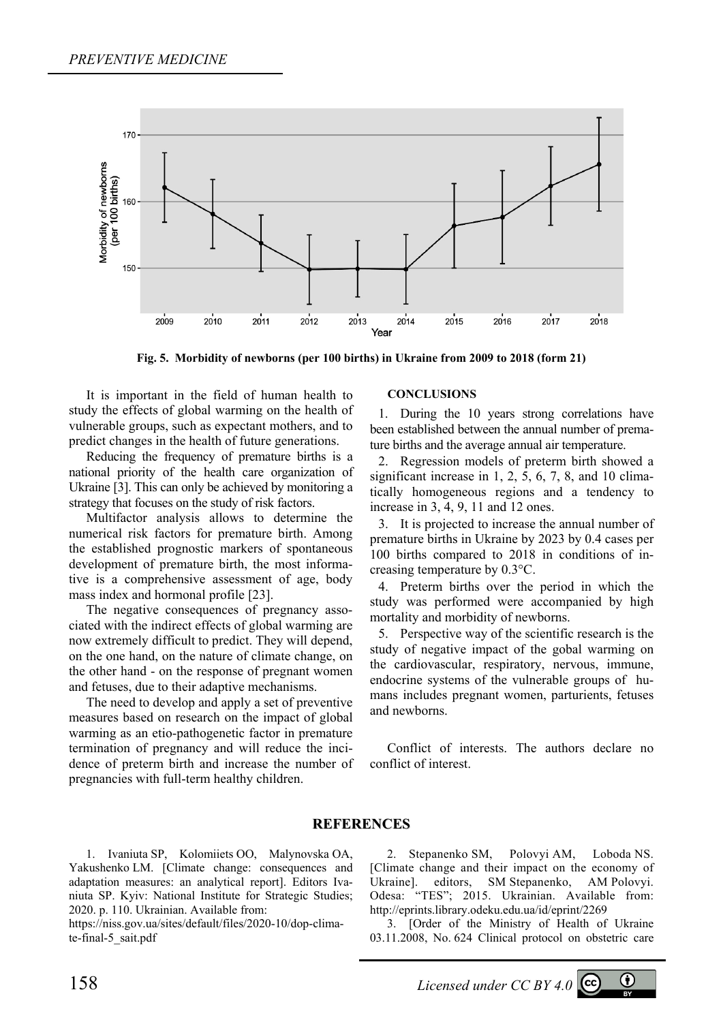

**Fig. 5. Morbidity of newborns (per 100 births) in Ukraine from 2009 to 2018 (form 21)** 

It is important in the field of human health to study the effects of global warming on the health of vulnerable groups, such as expectant mothers, and to predict changes in the health of future generations.

Reducing the frequency of premature births is a national priority of the health care organization of Ukraine [3]. This can only be achieved by monitoring a strategy that focuses on the study of risk factors.

Multifactor analysis allows to determine the numerical risk factors for premature birth. Among the established prognostic markers of spontaneous development of premature birth, the most informative is a comprehensive assessment of age, body mass index and hormonal profile [23].

The negative consequences of pregnancy associated with the indirect effects of global warming are now extremely difficult to predict. They will depend, on the one hand, on the nature of climate change, on the other hand - on the response of pregnant women and fetuses, due to their adaptive mechanisms.

The need to develop and apply a set of preventive measures based on research on the impact of global warming as an etio-pathogenetic factor in premature termination of pregnancy and will reduce the incidence of preterm birth and increase the number of pregnancies with full-term healthy children.

### **CONCLUSIONS**

1. During the 10 years strong correlations have been established between the annual number of premature births and the average annual air temperature.

2. Regression models of preterm birth showed a significant increase in 1, 2, 5, 6, 7, 8, and 10 climatically homogeneous regions and a tendency to increase in 3, 4, 9, 11 and 12 ones.

3. It is projected to increase the annual number of premature births in Ukraine by 2023 by 0.4 cases per 100 births compared to 2018 in conditions of increasing temperature by 0.3°C.

4. Preterm births over the period in which the study was performed were accompanied by high mortality and morbidity of newborns.

5. Perspective way of the scientific research is the study of negative impact of the gobal warming on the cardiovascular, respiratory, nervous, immune, endocrine systems of the vulnerable groups of humans includes pregnant women, parturients, fetuses and newborns.

Conflict of interests. The authors declare no conflict of interest.

## **REFERENCES**

1. Ivaniuta SP, Kolomiiets OO, Malynovska OA, Yakushenko LM. [Climate change: consequences and adaptation measures: an analytical report]. Editors Ivaniuta SP. Kyiv: National Institute for Strategic Studies; 2020. p. 110. Ukrainian. Available from:

https://niss.gov.ua/sites/default/files/2020-10/dop-climate-final-5\_sait.pdf

2. Stepanenko SM, Polovyi AM, Loboda NS. [Climate change and their impact on the economy of Ukraine]. editors, SM Stepanenko, AM Polovyi. Odesa: "TES"; 2015. Ukrainian. Available from: http://eprints.library.odeku.edu.ua/id/eprint/2269

3. [Order of the Ministry of Health of Ukraine 03.11.2008, No. 624 Clinical protocol on obstetric care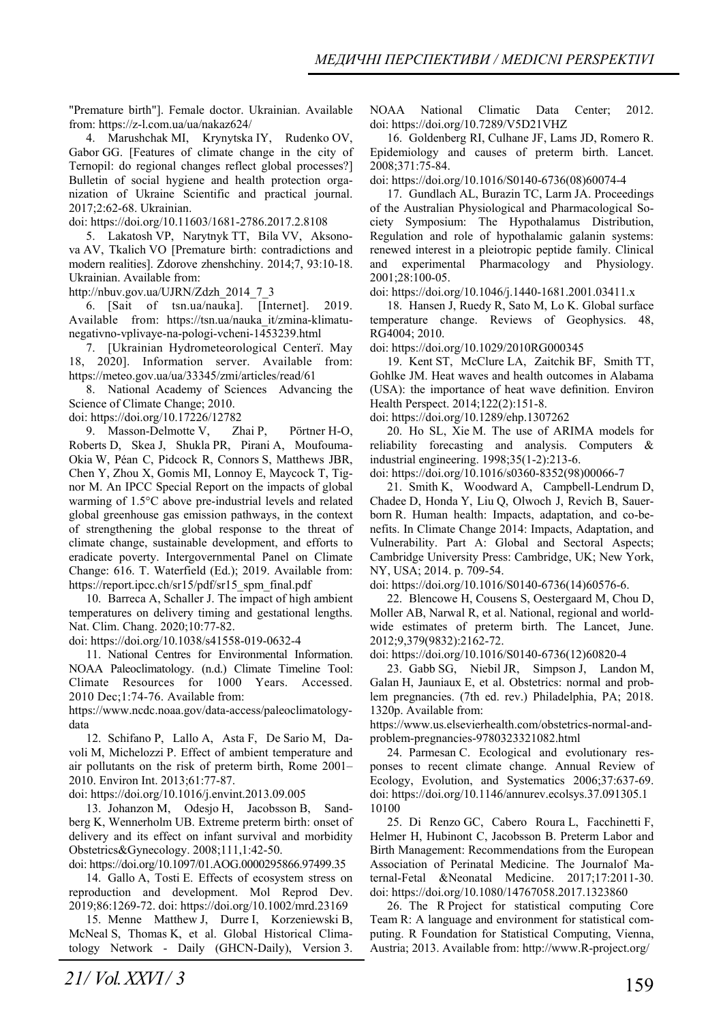"Premature birth"]. Female doctor. Ukrainian. Available from: https://z-l.com.ua/ua/nakaz624/

4. Marushchak MI, Krynytska IY, Rudenko OV, Gabor GG. [Features of climate change in the city of Ternopil: do regional changes reflect global processes?] Bulletin of social hygiene and health protection organization of Ukraine Scientific and practical journal. 2017;2:62-68. Ukrainian.

doi: https://doi.org/10.11603/1681-2786.2017.2.8108

5. Lakatosh VP, Narytnyk TT, Bila VV, Aksonova AV, Tkalich VO [Premature birth: contradictions and modern realities]. Zdorove zhenshchiny. 2014;7, 93:10-18. Ukrainian. Available from:

http://nbuv.gov.ua/UJRN/Zdzh\_2014\_7\_3

6. [Sait of tsn.ua/nauka]. [Internet]. 2019. Available from: https://tsn.ua/nauka\_it/zmina-klimatunegativno-vplivaye-na-pologi-vcheni-1453239.html

7. [Ukrainian Hydrometeorological Centerї. May 18, 2020]. Information server. Available from: https://meteo.gov.ua/ua/33345/zmi/articles/read/61

8. National Academy of Sciences Advancing the Science of Climate Change; 2010.

doi: https://doi.org/10.17226/12782

9. Masson-Delmotte V, Zhai P, Pörtner H-O, Roberts D, Skea J, Shukla PR, Pirani A, Moufouma-Okia W, Péan C, Pidcock R, Connors S, Matthews JBR, Chen Y, Zhou X, Gomis MI, Lonnoy E, Maycock T, Tignor M. An IPCC Special Report on the impacts of global warming of 1.5°C above pre-industrial levels and related global greenhouse gas emission pathways, in the context of strengthening the global response to the threat of climate change, sustainable development, and efforts to eradicate poverty. Intergovernmental Panel on Climate Change: 616. T. Waterfield (Ed.); 2019. Available from: https://report.ipcc.ch/sr15/pdf/sr15\_spm\_final.pdf

10. Barreca A, Schaller J. The impact of high ambient temperatures on delivery timing and gestational lengths. Nat. Clim. Chang. 2020;10:77-82.

doi: https://doi.org/10.1038/s41558-019-0632-4

11. National Centres for Environmental Information. NOAA Paleoclimatology. (n.d.) Climate Timeline Tool: Climate Resources for 1000 Years. Accessed. 2010 Dec;1:74-76. Available from:

https://www.ncdc.noaa.gov/data-access/paleoclimatologydata

12. Schifano P, Lallo A, Asta F, De Sario M, Davoli M, Michelozzi P. Effect of ambient temperature and air pollutants on the risk of preterm birth, Rome 2001– 2010. Environ Int. 2013;61:77-87.

doi: https://doi.org/10.1016/j.envint.2013.09.005

13. Johanzon M, Odesjo H, Jacobsson B, Sandberg K, Wennerholm UB. Extreme preterm birth: onset of delivery and its effect on infant survival and morbidity Obstetrics&Gynecology. 2008;111,1:42-50.

doi: https://doi.org/10.1097/01.AOG.0000295866.97499.35

14. Gallo A, Tosti E. Effects of ecosystem stress on reproduction and development. Mol Reprod Dev. 2019;86:1269-72. doi: https://doi.org/10.1002/mrd.23169

15. Menne Matthew J, Durre I, Korzeniewski B, McNeal S, Thomas K, et al. Global Historical Climatology Network - Daily (GHCN-Daily), Version 3.

16. Goldenberg RI, Culhane JF, Lams JD, Romero R. Epidemiology and causes of preterm birth. Lancet. 2008;371:75-84.

doi: https://doi.org/10.1016/S0140-6736(08)60074-4

17. Gundlach AL, Burazin TC, Larm JA. Proceedings of the Australian Physiological and Pharmacological Society Symposium: The Hypothalamus Distribution, Regulation and role of hypothalamic galanin systems: renewed interest in a pleiotropic peptide family. Clinical and experimental Pharmacology and Physiology. 2001;28:100-05.

doi: https://doi.org/10.1046/j.1440-1681.2001.03411.x

18. Hansen J, Ruedy R, Sato M, Lo K. Global surface temperature change. Reviews of Geophysics. 48, RG4004; 2010.

doi: https://doi.org/10.1029/2010RG000345

19. Kent ST, McClure LA, Zaitchik BF, Smith TT, Gohlke JM. Heat waves and health outcomes in Alabama (USA): the importance of heat wave definition. Environ Health Perspect. 2014;122(2):151-8.

doi: https://doi.org/10.1289/ehp.1307262

20. Ho SL, Xie M. The use of ARIMA models for reliability forecasting and analysis. Computers & industrial engineering. 1998;35(1-2):213-6.

doi: https://doi.org/10.1016/s0360-8352(98)00066-7

21. Smith K, Woodward A, Campbell-Lendrum D, Chadee D, Honda Y, Liu Q, Olwoch J, Revich B, Sauerborn R. Human health: Impacts, adaptation, and co-benefits. In Climate Change 2014: Impacts, Adaptation, and Vulnerability. Part A: Global and Sectoral Aspects; Cambridge University Press: Cambridge, UK; New York, NY, USA; 2014. p. 709-54.

doi: https://doi.org/10.1016/S0140-6736(14)60576-6.

22. Blencowe H, Cousens S, Oestergaard M, Chou D, Moller AB, Narwal R, et al. National, regional and worldwide estimates of preterm birth. The Lancet, June. 2012;9,379(9832):2162-72.

doi: https://doi.org/10.1016/S0140-6736(12)60820-4

23. Gabb SG, Niebil JR, Simpson J, Landon M, Galan H, Jauniaux E, et al. Obstetrics: normal and problem pregnancies. (7th ed. rev.) Philadelphia, PA; 2018. 1320p. Available from:

https://www.us.elsevierhealth.com/obstetrics-normal-andproblem-pregnancies-9780323321082.html

24. Parmesan C. Ecological and evolutionary responses to recent climate change. Annual Review of Ecology, Evolution, and Systematics 2006;37:637-69. doi: https://doi.org/10.1146/annurev.ecolsys.37.091305.1 10100

25. Di Renzo GC, Cabero Roura L, Facchinetti F, Helmer H, Hubinont C, Jacobsson B. Preterm Labor and Birth Management: Recommendations from the European Association of Perinatal Medicine. The Journalof Maternal-Fetal &Neonatal Medicine. 2017;17:2011-30. doi: https://doi.org/10.1080/14767058.2017.1323860

26. The R Project for statistical computing Core Team R: A language and environment for statistical computing. R Foundation for Statistical Computing, Vienna, Austria; 2013. Available from: http://www.R-project.org/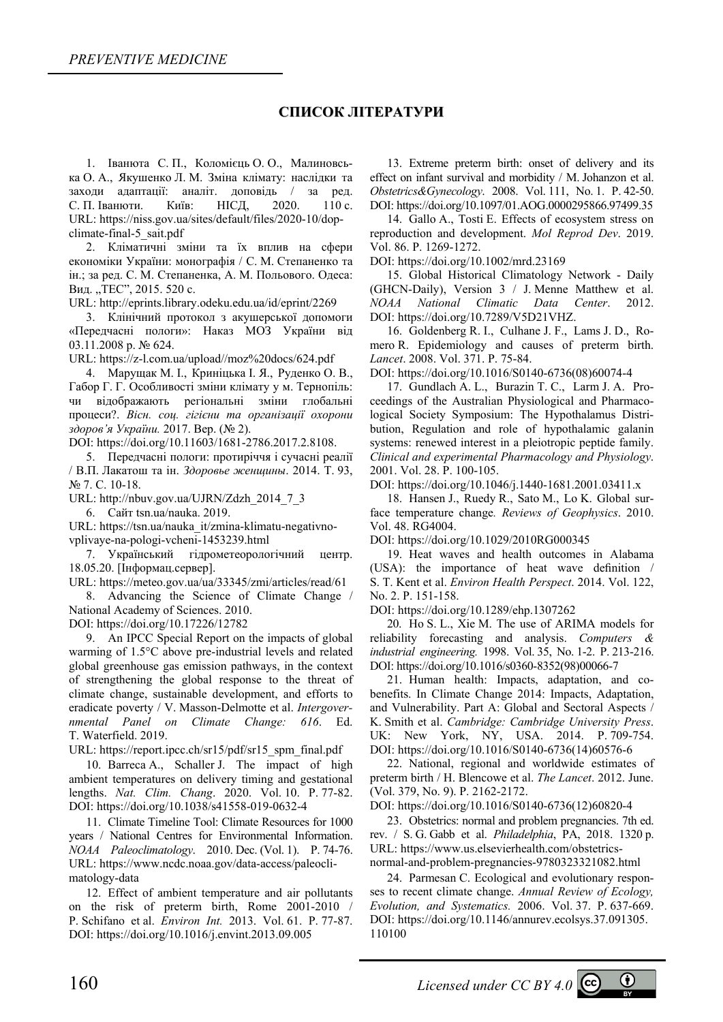## **СПИСОК ЛІТЕРАТУРИ**

1. Іванюта С. П., Коломієць О. О., Малиновська О. А., Якушенко Л. М. Зміна клімату: наслідки та заходи адаптації: аналіт. доповідь / за ред. С. П. Іванюти. Київ: НІСД, 2020. 110 с. URL: https://niss.gov.ua/sites/default/files/2020-10/dopclimate-final-5\_sait.pdf

2. Кліматичні зміни та їх вплив на сфери економіки України: монографія / С. М. Степаненко та ін.; за ред. С. М. Степаненка, А. М. Польового. Одеса: Вид. "ТЕС", 2015. 520 с.

URL: http://eprints.library.odeku.edu.ua/id/eprint/2269

3. Клінічний протокол з акушерської допомоги «Передчасні пологи»: Наказ МОЗ України від 03.11.2008 р. № 624.

URL: https://z-l.com.ua/upload//moz%20docs/624.pdf

4. Марущак М. І., Криніцька І. Я., Руденко О. В., Габор Г. Г. Особливості зміни клімату у м. Тернопіль: чи відображають регіональні зміни глобальні процеси?. *Вісн. соц. гігієни та організації охорони здоров'я України.* 2017. Вер. (№ 2).

DOI: https://doi.org/10.11603/1681-2786.2017.2.8108.

5. Передчасні пологи: протиріччя і сучасні реалії / В.П. Лакатош та ін. *Здоровье женщины*. 2014. Т. 93, № 7. С. 10-18.

URL: http://nbuv.gov.ua/UJRN/Zdzh\_2014\_7\_3

6. Сайт tsn.ua/nauka. 2019.

URL: https://tsn.ua/nauka\_it/zmina-klimatu-negativnovplivaye-na-pologi-vcheni-1453239.html

7. Український гідрометеорологічний центр. 18.05.20. [Інформац.сервер].

URL: https://meteo.gov.ua/ua/33345/zmi/articles/read/61

8. Advancing the Science of Climate Change / National Academy of Sciences. 2010.

DOI: https://doi.org/10.17226/12782

9. An IPCC Special Report on the impacts of global warming of 1.5°C above pre-industrial levels and related global greenhouse gas emission pathways, in the context of strengthening the global response to the threat of climate change, sustainable development, and efforts to eradicate poverty / V. Masson-Delmotte et al. *Intergovernmental Panel on Climate Change: 616*. Ed. T. Waterfield. 2019.

URL: https://report.ipcc.ch/sr15/pdf/sr15\_spm\_final.pdf

10. Barreca A., Schaller J. The impact of high ambient temperatures on delivery timing and gestational lengths. *Nat. Clim. Chang*. 2020. Vol. 10. P. 77-82. DOI: https://doi.org/10.1038/s41558-019-0632-4

11. Climate Timeline Tool: Climate Resources for 1000 years / National Centres for Environmental Information. *NOAA Paleoclimatology*. 2010. Dec. (Vol. 1). P. 74-76. URL: https://www.ncdc.noaa.gov/data-access/paleoclimatology-data

12. Effect of ambient temperature and air pollutants on the risk of preterm birth, Rome 2001-2010 P. Schifano et al. *Environ Int.* 2013. Vol. 61. P. 77-87. DOI: https://doi.org/10.1016/j.envint.2013.09.005

13. Extreme preterm birth: onset of delivery and its effect on infant survival and morbidity / M. Johanzon et al. *Obstetrics&Gynecology*. 2008. Vol. 111, No. 1. P. 42-50. DOI: https://doi.org/10.1097/01.AOG.0000295866.97499.35

14. Gallo A., Tosti E. Effects of ecosystem stress on reproduction and development. *Mol Reprod Dev*. 2019. Vol. 86. P. 1269-1272.

DOI: https://doi.org/10.1002/mrd.23169

15. Global Historical Climatology Network - Daily (GHCN-Daily), Version 3 / J. Menne Matthew et al. *NOAA National Climatic Data Center*. 2012. DOI: https://doi.org/10.7289/V5D21VHZ.

16. Goldenberg R. I., Culhane J. F., Lams J. D., Romero R. Epidemiology and causes of preterm birth. *Lancet*. 2008. Vol. 371. P. 75-84.

DOI: https://doi.org/10.1016/S0140-6736(08)60074-4

17. Gundlach A. L., Burazin T. C., Larm J. A. Proceedings of the Australian Physiological and Pharmacological Society Symposium: The Hypothalamus Distribution, Regulation and role of hypothalamic galanin systems: renewed interest in a pleiotropic peptide family. *Clinical and experimental Pharmacology and Physiology*. 2001. Vol. 28. P. 100-105.

DOI: https://doi.org/10.1046/j.1440-1681.2001.03411.x

18. Hansen J., Ruedy R., Sato M., Lo K. Global surface temperature change*. Reviews of Geophysics*. 2010. Vol. 48. RG4004.

DOI: https://doi.org/10.1029/2010RG000345

19. Heat waves and health outcomes in Alabama (USA): the importance of heat wave definition / S. T. Kent et al. *Environ Health Perspect*. 2014. Vol. 122, No. 2. P. 151-158.

DOI: https://doi.org/10.1289/ehp.1307262

20. Ho S. L., Xie M. The use of ARIMA models for reliability forecasting and analysis. *Computers & industrial engineering.* 1998. Vol. 35, No. 1-2. P. 213-216. DOI: https://doi.org/10.1016/s0360-8352(98)00066-7

21. Human health: Impacts, adaptation, and cobenefits. In Climate Change 2014: Impacts, Adaptation, and Vulnerability. Part A: Global and Sectoral Aspects / K. Smith et al. *Cambridge: Cambridge University Press*. UK: New York, NY, USA. 2014. P. 709-754. DOI: https://doi.org/10.1016/S0140-6736(14)60576-6

22. National, regional and worldwide estimates of preterm birth / H. Blencowe et al. *The Lancet*. 2012. June. (Vol. 379, No. 9). P. 2162-2172.

DOI: https://doi.org/10.1016/S0140-6736(12)60820-4

23. Obstetrics: normal and problem pregnancies. 7th ed. rev. / S. G. Gabb et al. *Philadelphia*, PA, 2018. 1320 p. URL: https://www.us.elsevierhealth.com/obstetricsnormal-and-problem-pregnancies-9780323321082.html

24. Parmesan C. Ecological and evolutionary responses to recent climate change. *Annual Review of Ecology, Evolution, and Systematics.* 2006. Vol. 37. P. 637-669. DOI: https://doi.org/10.1146/annurev.ecolsys.37.091305. 110100